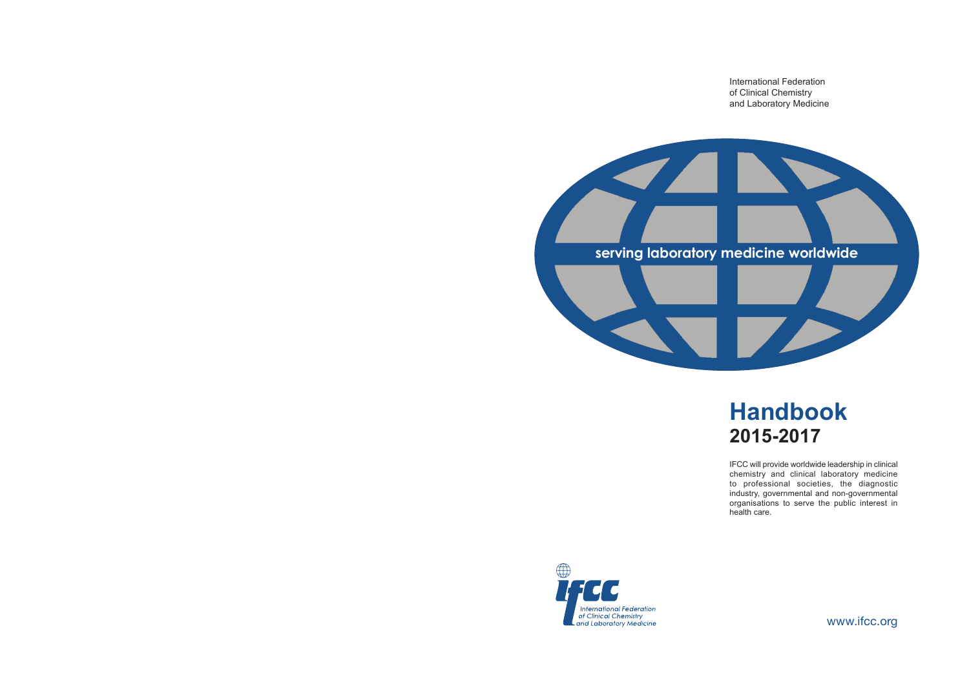International Federation of Clinical Chemistry and Laboratory Medicine



# **Handbook 2015-2017**

IFCC will provide worldwide leadership in clinical chemistry and clinical laboratory medicine to professional societies, the diagnostic industry, governmental and non-governmental organisations to serve the public interest in health care.



www.ifcc.org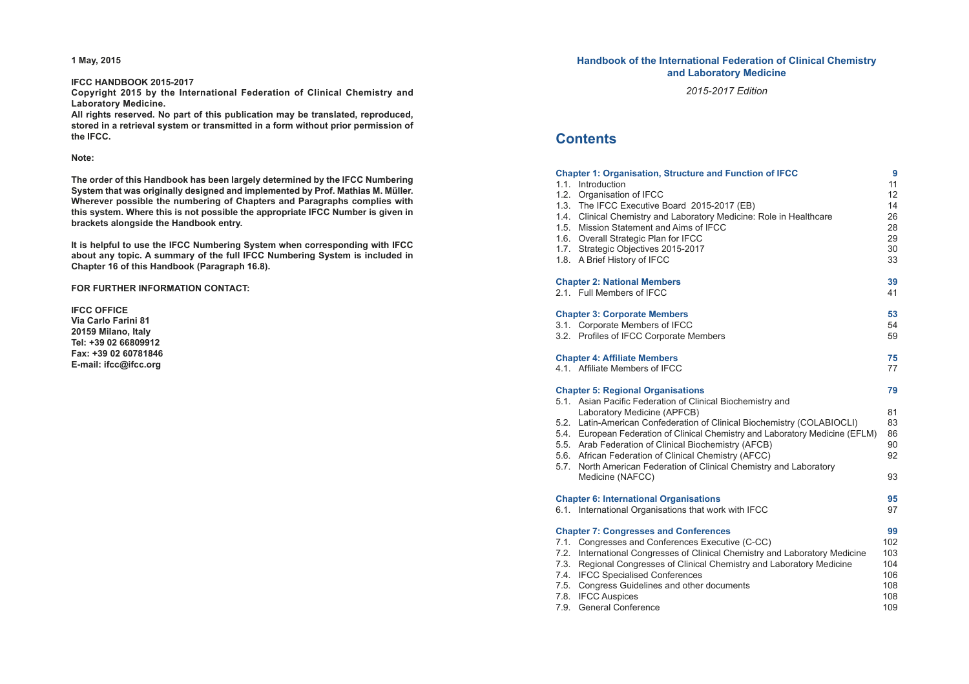**1 May, 2015**

### **IFCC HANDBOOK 2015-2017**

**Copyright 2015 by the International Federation of Clinical Chemistry and Laboratory Medicine.**

**All rights reserved. No part of this publication may be translated, reproduced, stored in a retrieval system or transmitted in a form without prior permission of the IFCC.**

#### **Note:**

**The order of this Handbook has been largely determined by the IFCC Numbering System that was originally designed and implemented by Prof. Mathias M. Müller. Wherever possible the numbering of Chapters and Paragraphs complies with this system. Where this is not possible the appropriate IFCC Number is given in brackets alongside the Handbook entry.**

**It is helpful to use the IFCC Numbering System when corresponding with IFCC about any topic. A summary of the full IFCC Numbering System is included in Chapter 16 of this Handbook (Paragraph 16.8).**

**FOR FURTHER INFORMATION CONTACT:**

**IFCC OFFICE Via Carlo Farini 81 20159 Milano, Italy Tel: +39 02 66809912 Fax: +39 02 60781846 E-mail: ifcc@ifcc.org**

## **Handbook of the International Federation of Clinical Chemistry and Laboratory Medicine**

*2015-2017 Edition*

# **Contents**

| <b>Chapter 1: Organisation, Structure and Function of IFCC</b><br>1.1. Introduction<br>1.2. Organisation of IFCC<br>1.3. The IFCC Executive Board 2015-2017 (EB)<br>1.4. Clinical Chemistry and Laboratory Medicine: Role in Healthcare<br>1.5. Mission Statement and Aims of IFCC<br>1.6. Overall Strategic Plan for IFCC<br>1.7. Strategic Objectives 2015-2017<br>1.8. A Brief History of IFCC                                                                                                            | 9<br>11<br>12<br>14<br>26<br>28<br>29<br>30<br>33   |
|--------------------------------------------------------------------------------------------------------------------------------------------------------------------------------------------------------------------------------------------------------------------------------------------------------------------------------------------------------------------------------------------------------------------------------------------------------------------------------------------------------------|-----------------------------------------------------|
| <b>Chapter 2: National Members</b><br>2.1. Full Members of IFCC                                                                                                                                                                                                                                                                                                                                                                                                                                              | 39<br>41                                            |
| <b>Chapter 3: Corporate Members</b><br>3.1. Corporate Members of IFCC<br>3.2. Profiles of IFCC Corporate Members                                                                                                                                                                                                                                                                                                                                                                                             | 53<br>54<br>59                                      |
| <b>Chapter 4: Affiliate Members</b><br>4.1. Affiliate Members of IFCC                                                                                                                                                                                                                                                                                                                                                                                                                                        | 75<br>77                                            |
| <b>Chapter 5: Regional Organisations</b><br>5.1. Asian Pacific Federation of Clinical Biochemistry and<br>Laboratory Medicine (APFCB)<br>5.2. Latin-American Confederation of Clinical Biochemistry (COLABIOCLI)<br>5.4. European Federation of Clinical Chemistry and Laboratory Medicine (EFLM)<br>5.5. Arab Federation of Clinical Biochemistry (AFCB)<br>5.6. African Federation of Clinical Chemistry (AFCC)<br>5.7. North American Federation of Clinical Chemistry and Laboratory<br>Medicine (NAFCC) | 79<br>81<br>83<br>86<br>90<br>92<br>93              |
| <b>Chapter 6: International Organisations</b><br>6.1. International Organisations that work with IFCC                                                                                                                                                                                                                                                                                                                                                                                                        | 95<br>97                                            |
| <b>Chapter 7: Congresses and Conferences</b><br>7.1. Congresses and Conferences Executive (C-CC)<br>7.2. International Congresses of Clinical Chemistry and Laboratory Medicine<br>7.3. Regional Congresses of Clinical Chemistry and Laboratory Medicine<br>7.4. IFCC Specialised Conferences<br>7.5. Congress Guidelines and other documents<br>7.8. IFCC Auspices<br>7.9.<br><b>General Conference</b>                                                                                                    | 99<br>102<br>103<br>104<br>106<br>108<br>108<br>109 |